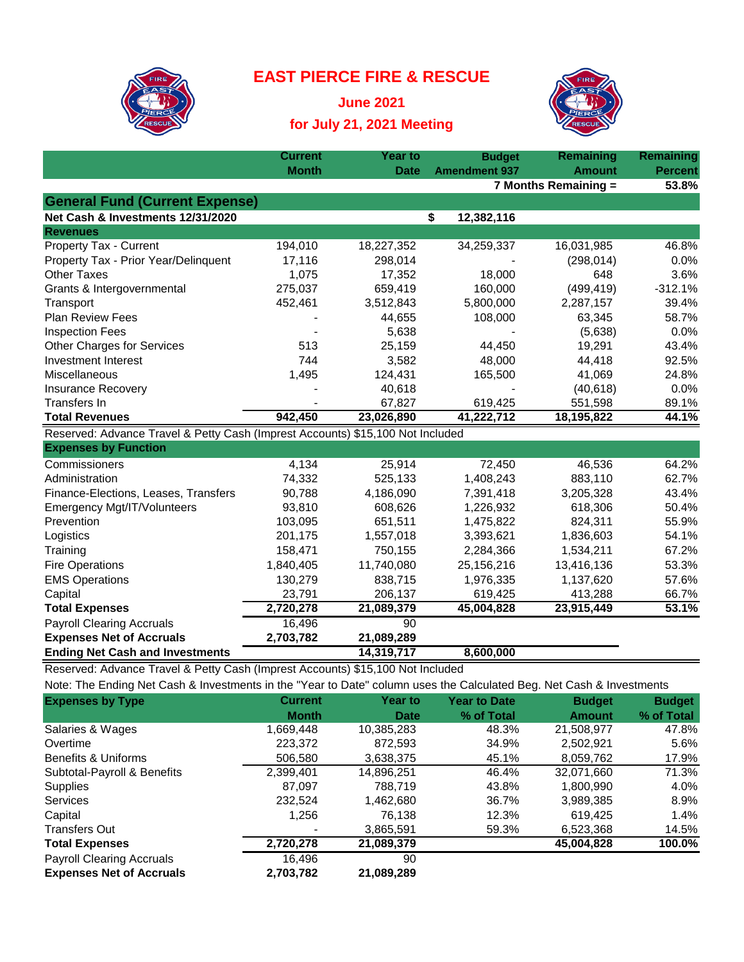## **EAST PIERCE FIRE & RESCUE**



**June 2021 for July 21, 2021 Meeting**



|                                                                                | <b>Current</b> | <b>Year to</b>   | <b>Budget</b>        | Remaining            | <b>Remaining</b> |
|--------------------------------------------------------------------------------|----------------|------------------|----------------------|----------------------|------------------|
|                                                                                | <b>Month</b>   | <b>Date</b>      | <b>Amendment 937</b> | <b>Amount</b>        | <b>Percent</b>   |
|                                                                                |                |                  |                      | 7 Months Remaining = | 53.8%            |
| <b>General Fund (Current Expense)</b>                                          |                |                  |                      |                      |                  |
| Net Cash & Investments 12/31/2020                                              |                |                  | \$<br>12,382,116     |                      |                  |
| <b>Revenues</b>                                                                |                |                  |                      |                      |                  |
| Property Tax - Current                                                         | 194,010        | 18,227,352       | 34,259,337           | 16,031,985           | 46.8%            |
| Property Tax - Prior Year/Delinquent                                           | 17,116         | 298,014          |                      | (298, 014)           | 0.0%             |
| <b>Other Taxes</b>                                                             | 1,075          | 17,352           | 18,000               | 648                  | 3.6%             |
| Grants & Intergovernmental                                                     | 275,037        | 659,419          | 160,000              | (499, 419)           | $-312.1%$        |
| Transport                                                                      | 452,461        | 3,512,843        | 5,800,000            | 2,287,157            | 39.4%            |
| <b>Plan Review Fees</b>                                                        |                | 44,655           | 108,000              | 63,345               | 58.7%            |
| <b>Inspection Fees</b>                                                         |                | 5,638            |                      | (5,638)              | 0.0%             |
| <b>Other Charges for Services</b>                                              | 513            | 25,159           | 44,450               | 19,291               | 43.4%            |
| <b>Investment Interest</b>                                                     | 744            | 3,582            | 48,000               | 44,418               | 92.5%            |
| Miscellaneous                                                                  | 1,495          | 124,431          | 165,500              | 41,069               | 24.8%            |
| <b>Insurance Recovery</b>                                                      |                | 40,618           |                      | (40, 618)            | 0.0%             |
| <b>Transfers In</b>                                                            |                | 67,827           | 619,425              | 551,598              | 89.1%            |
| <b>Total Revenues</b>                                                          | 942,450        | 23,026,890       | 41,222,712           | 18,195,822           | 44.1%            |
| Reserved: Advance Travel & Petty Cash (Imprest Accounts) \$15,100 Not Included |                |                  |                      |                      |                  |
| <b>Expenses by Function</b>                                                    |                |                  |                      |                      |                  |
| Commissioners                                                                  | 4,134          | 25,914           | 72,450               | 46,536               | 64.2%            |
| Administration                                                                 | 74,332         | 525,133          | 1,408,243            | 883,110              | 62.7%            |
| Finance-Elections, Leases, Transfers                                           | 90,788         | 4,186,090        | 7,391,418            | 3,205,328            | 43.4%            |
| Emergency Mgt/IT/Volunteers                                                    | 93,810         | 608,626          | 1,226,932            | 618,306              | 50.4%            |
| Prevention                                                                     | 103,095        | 651,511          | 1,475,822            | 824,311              | 55.9%            |
| Logistics                                                                      | 201,175        | 1,557,018        | 3,393,621            | 1,836,603            | 54.1%            |
| Training                                                                       | 158,471        | 750,155          | 2,284,366            | 1,534,211            | 67.2%            |
| <b>Fire Operations</b>                                                         | 1,840,405      | 11,740,080       | 25,156,216           | 13,416,136           | 53.3%            |
| <b>EMS Operations</b>                                                          | 130,279        | 838,715          | 1,976,335            | 1,137,620            | 57.6%            |
| Capital                                                                        | 23,791         | 206,137          | 619,425              | 413,288              | 66.7%            |
| <b>Total Expenses</b>                                                          | 2,720,278      | 21,089,379       | 45,004,828           | 23,915,449           | 53.1%            |
| <b>Payroll Clearing Accruals</b>                                               | 16,496         | 90               |                      |                      |                  |
| <b>Expenses Net of Accruals</b>                                                | 2,703,782      | 21,089,289       |                      |                      |                  |
| <b>Ending Net Cash and Investments</b>                                         |                | 14,319,717       | 8,600,000            |                      |                  |
| المناطر فالمتمرية<br>$T_{\text{max}}$ of $0.544$                               |                | $A = 400$ Met La |                      |                      |                  |

Reserved: Advance Travel & Petty Cash (Imprest Accounts) \$15,100 Not Included

Payroll Clearing Accruals 16,496 16,496 **Expenses Net of Accruals 2,703,782 21,089,289**

| Note: The Ending Net Cash & Investments in the "Year to Date" column uses the Calculated Beg. Net Cash & Investments |                |                |                     |               |               |
|----------------------------------------------------------------------------------------------------------------------|----------------|----------------|---------------------|---------------|---------------|
| <b>Expenses by Type</b>                                                                                              | <b>Current</b> | <b>Year to</b> | <b>Year to Date</b> | <b>Budget</b> | <b>Budget</b> |
|                                                                                                                      | <b>Month</b>   | Date           | % of Total          | <b>Amount</b> | % of Total    |
| Salaries & Wages                                                                                                     | 1,669,448      | 10,385,283     | 48.3%               | 21,508,977    | 47.8%         |
| Overtime                                                                                                             | 223,372        | 872.593        | 34.9%               | 2.502.921     | 5.6%          |
| Benefits & Uniforms                                                                                                  | 506,580        | 3,638,375      | 45.1%               | 8,059,762     | 17.9%         |
| Subtotal-Payroll & Benefits                                                                                          | 2,399,401      | 14,896,251     | 46.4%               | 32,071,660    | 71.3%         |
| <b>Supplies</b>                                                                                                      | 87.097         | 788.719        | 43.8%               | 1.800.990     | 4.0%          |
| Services                                                                                                             | 232,524        | 1,462,680      | 36.7%               | 3,989,385     | 8.9%          |
| Capital                                                                                                              | 1,256          | 76.138         | 12.3%               | 619.425       | 1.4%          |
| Transfers Out                                                                                                        |                | 3.865.591      | 59.3%               | 6,523,368     | 14.5%         |

**Total Expenses 2,720,278 21,089,379 45,004,828 100.0%**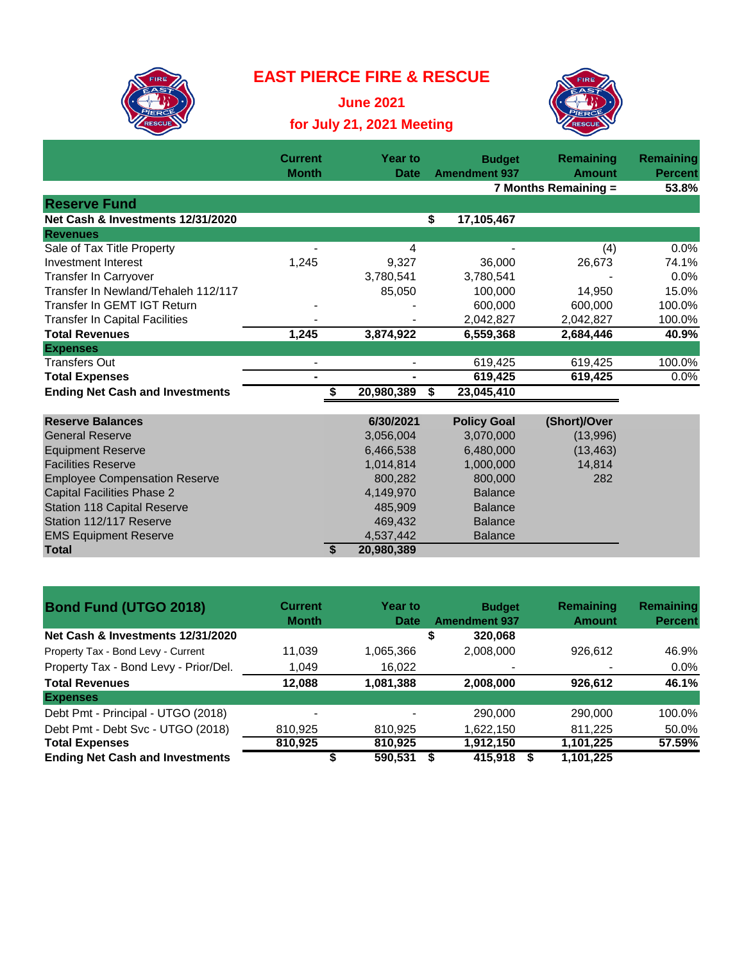## **EAST PIERCE FIRE & RESCUE**



**June 2021 for July 21, 2021 Meeting**



|                                        | <b>Current</b><br><b>Month</b> | <b>Year to</b> | <b>Budget</b>        | Remaining<br><b>Amount</b> | Remaining               |
|----------------------------------------|--------------------------------|----------------|----------------------|----------------------------|-------------------------|
|                                        |                                | <b>Date</b>    | <b>Amendment 937</b> | 7 Months Remaining =       | <b>Percent</b><br>53.8% |
| <b>Reserve Fund</b>                    |                                |                |                      |                            |                         |
| Net Cash & Investments 12/31/2020      |                                |                | 17,105,467<br>\$     |                            |                         |
| <b>Revenues</b>                        |                                |                |                      |                            |                         |
| Sale of Tax Title Property             |                                | 4              |                      | (4)                        | 0.0%                    |
| Investment Interest                    | 1,245                          | 9,327          | 36,000               | 26,673                     | 74.1%                   |
| Transfer In Carryover                  |                                | 3,780,541      | 3,780,541            |                            | 0.0%                    |
| Transfer In Newland/Tehaleh 112/117    |                                | 85,050         | 100,000              | 14,950                     | 15.0%                   |
| Transfer In GEMT IGT Return            |                                |                | 600,000              | 600,000                    | 100.0%                  |
| <b>Transfer In Capital Facilities</b>  |                                |                | 2,042,827            | 2,042,827                  | 100.0%                  |
| <b>Total Revenues</b>                  | 1,245                          | 3,874,922      | 6,559,368            | 2,684,446                  | 40.9%                   |
| <b>Expenses</b>                        |                                |                |                      |                            |                         |
| <b>Transfers Out</b>                   |                                |                | 619,425              | 619,425                    | 100.0%                  |
| <b>Total Expenses</b>                  | $\blacksquare$                 | $\blacksquare$ | 619,425              | 619,425                    | 0.0%                    |
| <b>Ending Net Cash and Investments</b> |                                | 20,980,389     | 23,045,410<br>S      |                            |                         |
|                                        |                                |                |                      |                            |                         |
| <b>Reserve Balances</b>                |                                | 6/30/2021      | <b>Policy Goal</b>   | (Short)/Over               |                         |
| <b>General Reserve</b>                 |                                | 3,056,004      | 3,070,000            | (13,996)                   |                         |
| <b>Equipment Reserve</b>               |                                | 6,466,538      | 6,480,000            | (13, 463)                  |                         |
| <b>Facilities Reserve</b>              |                                | 1,014,814      | 1,000,000            | 14,814                     |                         |
| <b>Employee Compensation Reserve</b>   |                                | 800.282        | 800,000              | 282                        |                         |
| <b>Capital Facilities Phase 2</b>      |                                | 4,149,970      | <b>Balance</b>       |                            |                         |
| <b>Station 118 Capital Reserve</b>     |                                | 485,909        | <b>Balance</b>       |                            |                         |
| Station 112/117 Reserve                |                                | 469,432        | <b>Balance</b>       |                            |                         |
| <b>EMS Equipment Reserve</b>           |                                | 4,537,442      | <b>Balance</b>       |                            |                         |
| <b>Total</b>                           | \$                             | 20,980,389     |                      |                            |                         |

| <b>Bond Fund (UTGO 2018)</b>           | <b>Current</b><br><b>Month</b> | <b>Year to</b><br><b>Date</b> | <b>Budget</b><br><b>Amendment 937</b> | Remaining<br><b>Amount</b> | Remaining<br><b>Percent</b> |
|----------------------------------------|--------------------------------|-------------------------------|---------------------------------------|----------------------------|-----------------------------|
| Net Cash & Investments 12/31/2020      |                                |                               | 320,068<br>\$                         |                            |                             |
| Property Tax - Bond Levy - Current     | 11,039                         | 1,065,366                     | 2,008,000                             | 926,612                    | 46.9%                       |
| Property Tax - Bond Levy - Prior/Del.  | 1,049                          | 16,022                        |                                       |                            | $0.0\%$                     |
| <b>Total Revenues</b>                  | 12.088                         | 1,081,388                     | 2,008,000                             | 926,612                    | 46.1%                       |
| <b>Expenses</b>                        |                                |                               |                                       |                            |                             |
| Debt Pmt - Principal - UTGO (2018)     | -                              |                               | 290,000                               | 290,000                    | 100.0%                      |
| Debt Pmt - Debt Svc - UTGO (2018)      | 810.925                        | 810.925                       | 1.622.150                             | 811.225                    | 50.0%                       |
| <b>Total Expenses</b>                  | 810,925                        | 810,925                       | 1,912,150                             | 1,101,225                  | 57.59%                      |
| <b>Ending Net Cash and Investments</b> |                                | 590,531                       | 415.918                               | 1,101,225                  |                             |